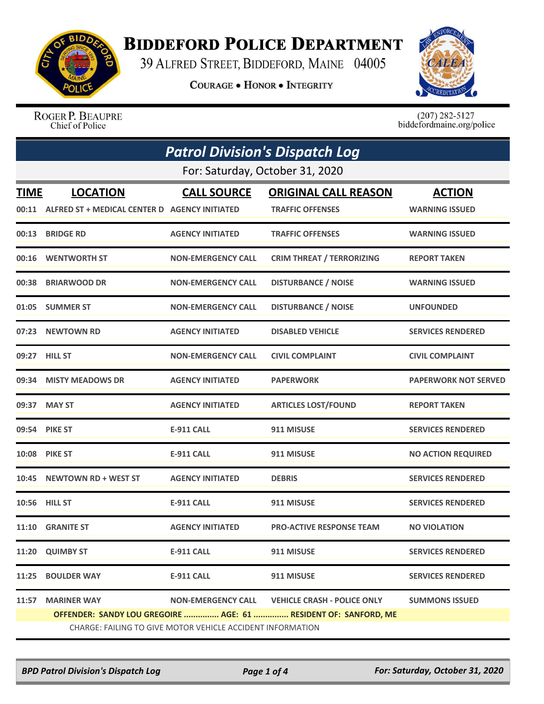

## **BIDDEFORD POLICE DEPARTMENT**

39 ALFRED STREET, BIDDEFORD, MAINE 04005

**COURAGE . HONOR . INTEGRITY** 



ROGER P. BEAUPRE Chief of Police

 $(207)$  282-5127<br>biddefordmaine.org/police

|             | <b>Patrol Division's Dispatch Log</b>                           |                           |                                    |                             |  |
|-------------|-----------------------------------------------------------------|---------------------------|------------------------------------|-----------------------------|--|
|             | For: Saturday, October 31, 2020                                 |                           |                                    |                             |  |
| <b>TIME</b> | <b>LOCATION</b>                                                 | <b>CALL SOURCE</b>        | <b>ORIGINAL CALL REASON</b>        | <b>ACTION</b>               |  |
|             | 00:11 ALFRED ST + MEDICAL CENTER D AGENCY INITIATED             |                           | <b>TRAFFIC OFFENSES</b>            | <b>WARNING ISSUED</b>       |  |
| 00:13       | <b>BRIDGE RD</b>                                                | <b>AGENCY INITIATED</b>   | <b>TRAFFIC OFFENSES</b>            | <b>WARNING ISSUED</b>       |  |
| 00:16       | <b>WENTWORTH ST</b>                                             | <b>NON-EMERGENCY CALL</b> | <b>CRIM THREAT / TERRORIZING</b>   | <b>REPORT TAKEN</b>         |  |
| 00:38       | <b>BRIARWOOD DR</b>                                             | <b>NON-EMERGENCY CALL</b> | <b>DISTURBANCE / NOISE</b>         | <b>WARNING ISSUED</b>       |  |
|             | 01:05 SUMMER ST                                                 | <b>NON-EMERGENCY CALL</b> | <b>DISTURBANCE / NOISE</b>         | <b>UNFOUNDED</b>            |  |
|             | 07:23 NEWTOWN RD                                                | <b>AGENCY INITIATED</b>   | <b>DISABLED VEHICLE</b>            | <b>SERVICES RENDERED</b>    |  |
|             | 09:27 HILL ST                                                   | <b>NON-EMERGENCY CALL</b> | <b>CIVIL COMPLAINT</b>             | <b>CIVIL COMPLAINT</b>      |  |
|             | 09:34 MISTY MEADOWS DR                                          | <b>AGENCY INITIATED</b>   | <b>PAPERWORK</b>                   | <b>PAPERWORK NOT SERVED</b> |  |
|             | 09:37 MAY ST                                                    | <b>AGENCY INITIATED</b>   | <b>ARTICLES LOST/FOUND</b>         | <b>REPORT TAKEN</b>         |  |
| 09:54       | <b>PIKE ST</b>                                                  | <b>E-911 CALL</b>         | 911 MISUSE                         | <b>SERVICES RENDERED</b>    |  |
|             | <b>10:08 PIKE ST</b>                                            | <b>E-911 CALL</b>         | 911 MISUSE                         | <b>NO ACTION REQUIRED</b>   |  |
| 10:45       | <b>NEWTOWN RD + WEST ST</b>                                     | <b>AGENCY INITIATED</b>   | <b>DEBRIS</b>                      | <b>SERVICES RENDERED</b>    |  |
| 10:56       | <b>HILL ST</b>                                                  | <b>E-911 CALL</b>         | 911 MISUSE                         | <b>SERVICES RENDERED</b>    |  |
|             | 11:10 GRANITE ST                                                | <b>AGENCY INITIATED</b>   | <b>PRO-ACTIVE RESPONSE TEAM</b>    | <b>NO VIOLATION</b>         |  |
| 11:20       | <b>QUIMBY ST</b>                                                | <b>E-911 CALL</b>         | 911 MISUSE                         | <b>SERVICES RENDERED</b>    |  |
| 11:25       | <b>BOULDER WAY</b>                                              | <b>E-911 CALL</b>         | 911 MISUSE                         | <b>SERVICES RENDERED</b>    |  |
| 11:57       | <b>MARINER WAY</b>                                              | <b>NON-EMERGENCY CALL</b> | <b>VEHICLE CRASH - POLICE ONLY</b> | <b>SUMMONS ISSUED</b>       |  |
|             | OFFENDER: SANDY LOU GREGOIRE  AGE: 61  RESIDENT OF: SANFORD, ME |                           |                                    |                             |  |
|             | CHARGE: FAILING TO GIVE MOTOR VEHICLE ACCIDENT INFORMATION      |                           |                                    |                             |  |

*BPD Patrol Division's Dispatch Log Page 1 of 4 For: Saturday, October 31, 2020*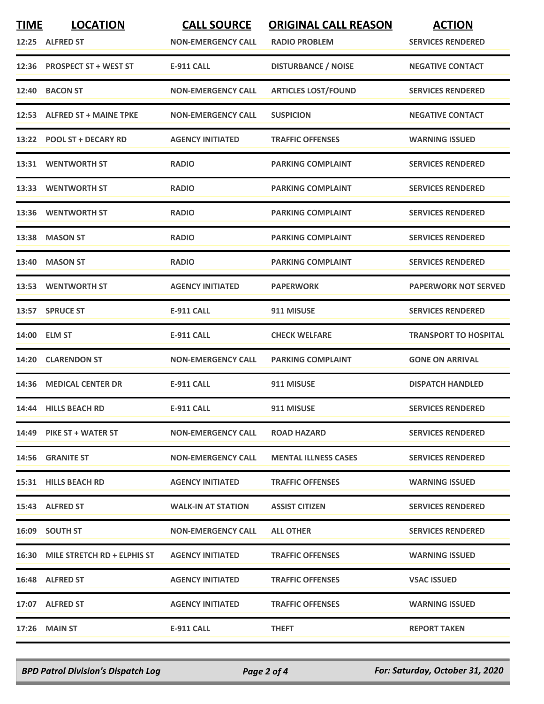| <b>TIME</b> | <b>LOCATION</b><br>12:25 ALFRED ST | <b>CALL SOURCE</b><br><b>NON-EMERGENCY CALL</b> | <b>ORIGINAL CALL REASON</b><br><b>RADIO PROBLEM</b> | <b>ACTION</b><br><b>SERVICES RENDERED</b> |
|-------------|------------------------------------|-------------------------------------------------|-----------------------------------------------------|-------------------------------------------|
|             | 12:36 PROSPECT ST + WEST ST        | <b>E-911 CALL</b>                               | <b>DISTURBANCE / NOISE</b>                          | <b>NEGATIVE CONTACT</b>                   |
| 12:40       | <b>BACON ST</b>                    | <b>NON-EMERGENCY CALL</b>                       | <b>ARTICLES LOST/FOUND</b>                          | <b>SERVICES RENDERED</b>                  |
|             | 12:53 ALFRED ST + MAINE TPKE       | <b>NON-EMERGENCY CALL</b>                       | <b>SUSPICION</b>                                    | <b>NEGATIVE CONTACT</b>                   |
|             | 13:22 POOL ST + DECARY RD          | <b>AGENCY INITIATED</b>                         | <b>TRAFFIC OFFENSES</b>                             | <b>WARNING ISSUED</b>                     |
|             | 13:31 WENTWORTH ST                 | <b>RADIO</b>                                    | <b>PARKING COMPLAINT</b>                            | <b>SERVICES RENDERED</b>                  |
|             | 13:33 WENTWORTH ST                 | <b>RADIO</b>                                    | <b>PARKING COMPLAINT</b>                            | <b>SERVICES RENDERED</b>                  |
|             | 13:36 WENTWORTH ST                 | <b>RADIO</b>                                    | <b>PARKING COMPLAINT</b>                            | <b>SERVICES RENDERED</b>                  |
|             | 13:38 MASON ST                     | <b>RADIO</b>                                    | <b>PARKING COMPLAINT</b>                            | <b>SERVICES RENDERED</b>                  |
| 13:40       | <b>MASON ST</b>                    | <b>RADIO</b>                                    | <b>PARKING COMPLAINT</b>                            | <b>SERVICES RENDERED</b>                  |
|             | 13:53 WENTWORTH ST                 | <b>AGENCY INITIATED</b>                         | <b>PAPERWORK</b>                                    | <b>PAPERWORK NOT SERVED</b>               |
|             | 13:57 SPRUCE ST                    | <b>E-911 CALL</b>                               | 911 MISUSE                                          | <b>SERVICES RENDERED</b>                  |
|             | 14:00 ELM ST                       | <b>E-911 CALL</b>                               | <b>CHECK WELFARE</b>                                | <b>TRANSPORT TO HOSPITAL</b>              |
|             | 14:20 CLARENDON ST                 | <b>NON-EMERGENCY CALL</b>                       | <b>PARKING COMPLAINT</b>                            | <b>GONE ON ARRIVAL</b>                    |
| 14:36       | <b>MEDICAL CENTER DR</b>           | <b>E-911 CALL</b>                               | 911 MISUSE                                          | <b>DISPATCH HANDLED</b>                   |
|             | 14:44 HILLS BEACH RD               | <b>E-911 CALL</b>                               | 911 MISUSE                                          | <b>SERVICES RENDERED</b>                  |
|             | 14:49 PIKE ST + WATER ST           | <b>NON-EMERGENCY CALL</b>                       | <b>ROAD HAZARD</b>                                  | <b>SERVICES RENDERED</b>                  |
|             | 14:56 GRANITE ST                   | <b>NON-EMERGENCY CALL</b>                       | <b>MENTAL ILLNESS CASES</b>                         | <b>SERVICES RENDERED</b>                  |
|             | 15:31 HILLS BEACH RD               | <b>AGENCY INITIATED</b>                         | <b>TRAFFIC OFFENSES</b>                             | <b>WARNING ISSUED</b>                     |
|             | 15:43 ALFRED ST                    | <b>WALK-IN AT STATION</b>                       | <b>ASSIST CITIZEN</b>                               | <b>SERVICES RENDERED</b>                  |
|             | 16:09 SOUTH ST                     | <b>NON-EMERGENCY CALL</b>                       | <b>ALL OTHER</b>                                    | <b>SERVICES RENDERED</b>                  |
|             | 16:30 MILE STRETCH RD + ELPHIS ST  | <b>AGENCY INITIATED</b>                         | <b>TRAFFIC OFFENSES</b>                             | <b>WARNING ISSUED</b>                     |
|             | 16:48 ALFRED ST                    | <b>AGENCY INITIATED</b>                         | <b>TRAFFIC OFFENSES</b>                             | <b>VSAC ISSUED</b>                        |
|             | 17:07 ALFRED ST                    | <b>AGENCY INITIATED</b>                         | <b>TRAFFIC OFFENSES</b>                             | <b>WARNING ISSUED</b>                     |
|             | $17:26$ MAIN ST                    | E-911 CALL                                      | <b>THEFT</b>                                        | <b>REPORT TAKEN</b>                       |

*BPD Patrol Division's Dispatch Log Page 2 of 4 For: Saturday, October 31, 2020*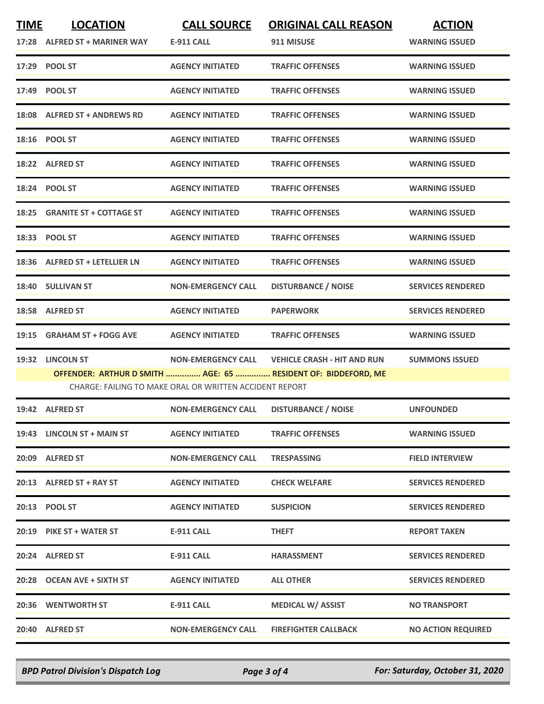| <b>TIME</b> | <b>LOCATION</b><br>17:28 ALFRED ST + MARINER WAY | <b>CALL SOURCE</b><br><b>E-911 CALL</b>                 | <b>ORIGINAL CALL REASON</b><br>911 MISUSE                                                                       | <b>ACTION</b><br><b>WARNING ISSUED</b> |
|-------------|--------------------------------------------------|---------------------------------------------------------|-----------------------------------------------------------------------------------------------------------------|----------------------------------------|
|             | 17:29 POOL ST                                    | <b>AGENCY INITIATED</b>                                 | <b>TRAFFIC OFFENSES</b>                                                                                         | <b>WARNING ISSUED</b>                  |
|             | 17:49 POOL ST                                    | <b>AGENCY INITIATED</b>                                 | <b>TRAFFIC OFFENSES</b>                                                                                         | <b>WARNING ISSUED</b>                  |
|             | 18:08 ALFRED ST + ANDREWS RD                     | <b>AGENCY INITIATED</b>                                 | <b>TRAFFIC OFFENSES</b>                                                                                         | <b>WARNING ISSUED</b>                  |
|             | 18:16 POOL ST                                    | <b>AGENCY INITIATED</b>                                 | <b>TRAFFIC OFFENSES</b>                                                                                         | <b>WARNING ISSUED</b>                  |
|             | 18:22 ALFRED ST                                  | <b>AGENCY INITIATED</b>                                 | <b>TRAFFIC OFFENSES</b>                                                                                         | <b>WARNING ISSUED</b>                  |
|             | 18:24 POOL ST                                    | <b>AGENCY INITIATED</b>                                 | <b>TRAFFIC OFFENSES</b>                                                                                         | <b>WARNING ISSUED</b>                  |
|             | 18:25 GRANITE ST + COTTAGE ST                    | <b>AGENCY INITIATED</b>                                 | <b>TRAFFIC OFFENSES</b>                                                                                         | <b>WARNING ISSUED</b>                  |
|             | 18:33 POOL ST                                    | <b>AGENCY INITIATED</b>                                 | <b>TRAFFIC OFFENSES</b>                                                                                         | <b>WARNING ISSUED</b>                  |
|             | 18:36 ALFRED ST + LETELLIER LN                   | <b>AGENCY INITIATED</b>                                 | <b>TRAFFIC OFFENSES</b>                                                                                         | <b>WARNING ISSUED</b>                  |
|             | 18:40 SULLIVAN ST                                | <b>NON-EMERGENCY CALL</b>                               | <b>DISTURBANCE / NOISE</b>                                                                                      | <b>SERVICES RENDERED</b>               |
|             | 18:58 ALFRED ST                                  | <b>AGENCY INITIATED</b>                                 | <b>PAPERWORK</b>                                                                                                | <b>SERVICES RENDERED</b>               |
| 19:15       | <b>GRAHAM ST + FOGG AVE</b>                      | <b>AGENCY INITIATED</b>                                 | <b>TRAFFIC OFFENSES</b>                                                                                         | <b>WARNING ISSUED</b>                  |
|             | 19:32 LINCOLN ST                                 | CHARGE: FAILING TO MAKE ORAL OR WRITTEN ACCIDENT REPORT | NON-EMERGENCY CALL VEHICLE CRASH - HIT AND RUN<br>OFFENDER: ARTHUR D SMITH  AGE: 65  RESIDENT OF: BIDDEFORD, ME | <b>SUMMONS ISSUED</b>                  |
|             | 19:42 ALFRED ST                                  | <b>NON-EMERGENCY CALL</b>                               | <b>DISTURBANCE / NOISE</b>                                                                                      | <b>UNFOUNDED</b>                       |
|             | 19:43 LINCOLN ST + MAIN ST                       | <b>AGENCY INITIATED</b>                                 | <b>TRAFFIC OFFENSES</b>                                                                                         | <b>WARNING ISSUED</b>                  |
|             | 20:09 ALFRED ST                                  | <b>NON-EMERGENCY CALL</b>                               | <b>TRESPASSING</b>                                                                                              | <b>FIELD INTERVIEW</b>                 |
|             | 20:13 ALFRED ST + RAY ST                         | <b>AGENCY INITIATED</b>                                 | <b>CHECK WELFARE</b>                                                                                            | <b>SERVICES RENDERED</b>               |
|             | 20:13 POOL ST                                    | <b>AGENCY INITIATED</b>                                 | <b>SUSPICION</b>                                                                                                | <b>SERVICES RENDERED</b>               |
|             | 20:19 PIKE ST + WATER ST                         | <b>E-911 CALL</b>                                       | <b>THEFT</b>                                                                                                    | <b>REPORT TAKEN</b>                    |
|             | 20:24 ALFRED ST                                  | <b>E-911 CALL</b>                                       | <b>HARASSMENT</b>                                                                                               | <b>SERVICES RENDERED</b>               |
|             | 20:28 OCEAN AVE + SIXTH ST                       | <b>AGENCY INITIATED</b>                                 | <b>ALL OTHER</b>                                                                                                | <b>SERVICES RENDERED</b>               |
|             | 20:36 WENTWORTH ST                               | E-911 CALL                                              | <b>MEDICAL W/ ASSIST</b>                                                                                        | <b>NO TRANSPORT</b>                    |
|             | 20:40 ALFRED ST                                  | <b>NON-EMERGENCY CALL</b>                               | <b>FIREFIGHTER CALLBACK</b>                                                                                     | <b>NO ACTION REQUIRED</b>              |

*BPD Patrol Division's Dispatch Log Page 3 of 4 For: Saturday, October 31, 2020*